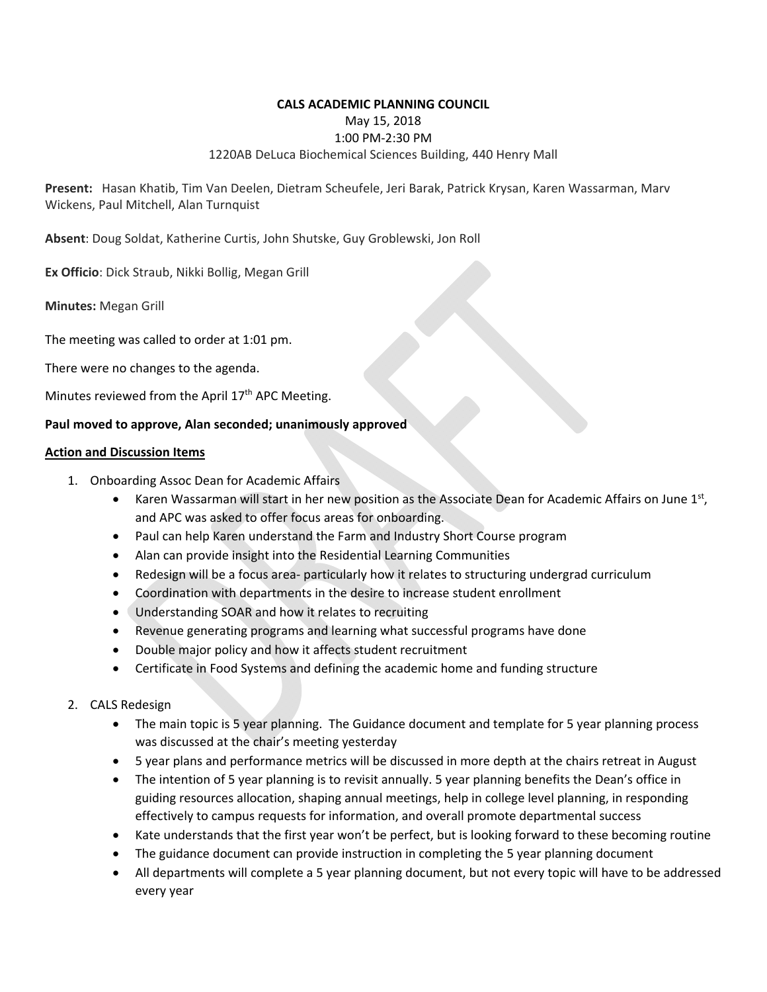### **CALS ACADEMIC PLANNING COUNCIL**  May 15, 2018 1:00 PM‐2:30 PM 1220AB DeLuca Biochemical Sciences Building, 440 Henry Mall

**Present:**  Hasan Khatib, Tim Van Deelen, Dietram Scheufele, Jeri Barak, Patrick Krysan, Karen Wassarman, Marv Wickens, Paul Mitchell, Alan Turnquist

**Absent**: Doug Soldat, Katherine Curtis, John Shutske, Guy Groblewski, Jon Roll

**Ex Officio**: Dick Straub, Nikki Bollig, Megan Grill

**Minutes:** Megan Grill

The meeting was called to order at 1:01 pm.

There were no changes to the agenda.

Minutes reviewed from the April 17<sup>th</sup> APC Meeting.

### **Paul moved to approve, Alan seconded; unanimously approved**

#### **Action and Discussion Items**

- 1. Onboarding Assoc Dean for Academic Affairs
	- **Karen Wassarman will start in her new position as the Associate Dean for Academic Affairs on June 1st,** and APC was asked to offer focus areas for onboarding.
	- Paul can help Karen understand the Farm and Industry Short Course program
	- Alan can provide insight into the Residential Learning Communities
	- Redesign will be a focus area- particularly how it relates to structuring undergrad curriculum
	- Coordination with departments in the desire to increase student enrollment
	- Understanding SOAR and how it relates to recruiting
	- Revenue generating programs and learning what successful programs have done
	- Double major policy and how it affects student recruitment
	- Certificate in Food Systems and defining the academic home and funding structure
- 2. CALS Redesign
	- The main topic is 5 year planning. The Guidance document and template for 5 year planning process was discussed at the chair's meeting yesterday
	- 5 year plans and performance metrics will be discussed in more depth at the chairs retreat in August
	- The intention of 5 year planning is to revisit annually. 5 year planning benefits the Dean's office in guiding resources allocation, shaping annual meetings, help in college level planning, in responding effectively to campus requests for information, and overall promote departmental success
	- Kate understands that the first year won't be perfect, but is looking forward to these becoming routine
	- The guidance document can provide instruction in completing the 5 year planning document
	- All departments will complete a 5 year planning document, but not every topic will have to be addressed every year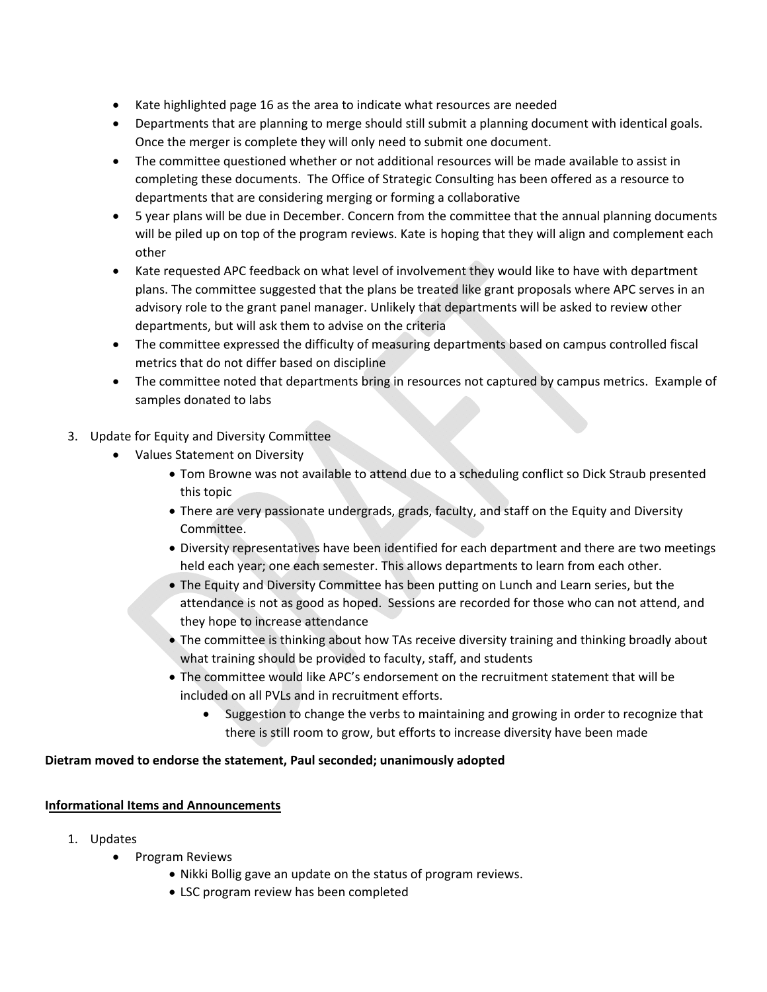- Kate highlighted page 16 as the area to indicate what resources are needed
- Departments that are planning to merge should still submit a planning document with identical goals. Once the merger is complete they will only need to submit one document.
- The committee questioned whether or not additional resources will be made available to assist in completing these documents. The Office of Strategic Consulting has been offered as a resource to departments that are considering merging or forming a collaborative
- 5 year plans will be due in December. Concern from the committee that the annual planning documents will be piled up on top of the program reviews. Kate is hoping that they will align and complement each other
- Kate requested APC feedback on what level of involvement they would like to have with department plans. The committee suggested that the plans be treated like grant proposals where APC serves in an advisory role to the grant panel manager. Unlikely that departments will be asked to review other departments, but will ask them to advise on the criteria
- The committee expressed the difficulty of measuring departments based on campus controlled fiscal metrics that do not differ based on discipline
- The committee noted that departments bring in resources not captured by campus metrics. Example of samples donated to labs
- 3. Update for Equity and Diversity Committee
	- Values Statement on Diversity
		- Tom Browne was not available to attend due to a scheduling conflict so Dick Straub presented this topic
		- There are very passionate undergrads, grads, faculty, and staff on the Equity and Diversity Committee.
		- Diversity representatives have been identified for each department and there are two meetings held each year; one each semester. This allows departments to learn from each other.
		- The Equity and Diversity Committee has been putting on Lunch and Learn series, but the attendance is not as good as hoped. Sessions are recorded for those who can not attend, and they hope to increase attendance
		- The committee is thinking about how TAs receive diversity training and thinking broadly about what training should be provided to faculty, staff, and students
		- The committee would like APC's endorsement on the recruitment statement that will be included on all PVLs and in recruitment efforts.
			- Suggestion to change the verbs to maintaining and growing in order to recognize that there is still room to grow, but efforts to increase diversity have been made

# **Dietram moved to endorse the statement, Paul seconded; unanimously adopted**

# **Informational Items and Announcements**

- 1. Updates
	- Program Reviews
		- Nikki Bollig gave an update on the status of program reviews.
		- LSC program review has been completed